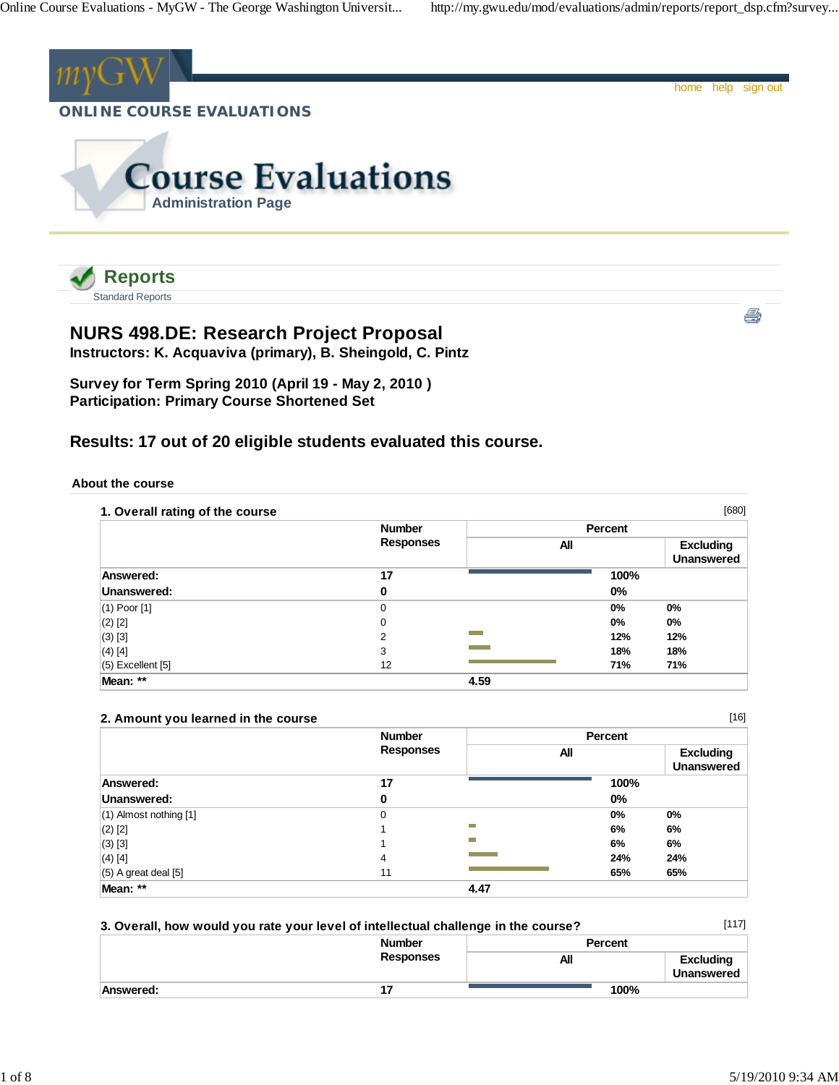

Standard Reports

# **NURS 498.DE: Research Project Proposal**

**Instructors: K. Acquaviva (primary), B. Sheingold, C. Pintz**

**Survey for Term Spring 2010 (April 19 - May 2, 2010 ) Participation: Primary Course Shortened Set**

## **Results: 17 out of 20 eligible students evaluated this course.**

## **About the course**

| 1. Overall rating of the course |                  |      |         | [680]                                 |
|---------------------------------|------------------|------|---------|---------------------------------------|
|                                 | <b>Number</b>    |      | Percent |                                       |
|                                 | <b>Responses</b> | All  |         | <b>Excluding</b><br><b>Unanswered</b> |
| Answered:                       | 17               |      | 100%    |                                       |
| Unanswered:                     | 0                |      | 0%      |                                       |
| $(1)$ Poor $[1]$                | 0                |      | $0\%$   | $0\%$                                 |
| $(2)$ [2]                       | 0                |      | 0%      | $0\%$                                 |
| $(3)$ [3]                       | $\overline{2}$   |      | 12%     | 12%                                   |
| $(4)$ [4]                       | 3                |      | 18%     | 18%                                   |
| $(5)$ Excellent $[5]$           | 12               |      | 71%     | 71%                                   |
| Mean: **                        |                  | 4.59 |         |                                       |

## **2. Amount you learned in the course**

|                            | <b>Number</b>    | Percent |                                       |
|----------------------------|------------------|---------|---------------------------------------|
|                            | <b>Responses</b> | All     | <b>Excluding</b><br><b>Unanswered</b> |
| Answered:                  | 17               | 100%    |                                       |
| Unanswered:                | 0                | $0\%$   |                                       |
| $(1)$ Almost nothing $[1]$ | 0                | 0%      | 0%                                    |
| $(2)$ [2]                  |                  | −<br>6% | 6%                                    |
| $(3)$ [3]                  |                  | −<br>6% | 6%                                    |
| $(4)$ [4]                  | 4                | 24%     | 24%                                   |
| $(5)$ A great deal $[5]$   | 11               | 65%     | 65%                                   |
| Mean: **                   |                  | 4.47    |                                       |

| 3. Overall, how would you rate your level of intellectual challenge in the course? |                  |                | [117]                                 |
|------------------------------------------------------------------------------------|------------------|----------------|---------------------------------------|
|                                                                                    | <b>Number</b>    | <b>Percent</b> |                                       |
|                                                                                    | <b>Responses</b> | All            | <b>Excluding</b><br><b>Unanswered</b> |
| Answered:                                                                          |                  | 100%           |                                       |

[16]

ê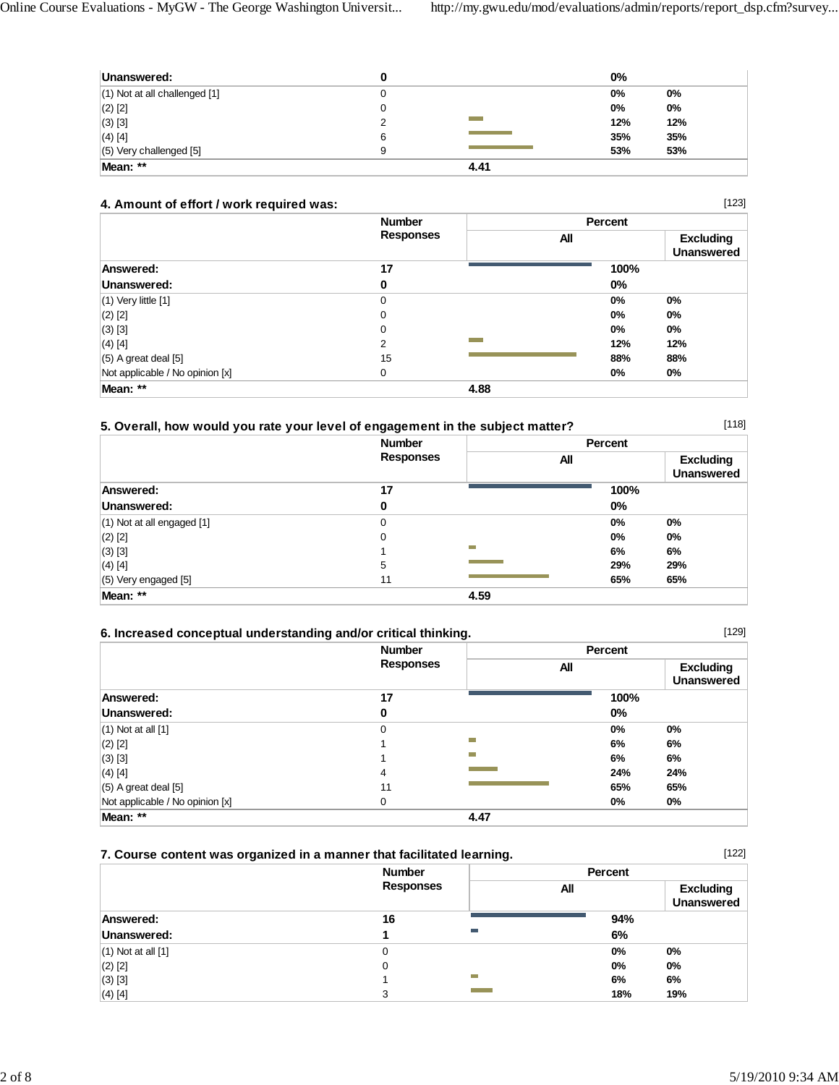| Unanswered:                       | w |      | $0\%$ |     |
|-----------------------------------|---|------|-------|-----|
| $(1)$ Not at all challenged $[1]$ |   |      | 0%    | 0%  |
| $(2)$ [2]                         |   |      | 0%    | 0%  |
| $(3)$ [3]                         |   |      | 12%   | 12% |
| $(4)$ [4]                         | 6 |      | 35%   | 35% |
| $(5)$ Very challenged $[5]$       | 9 |      | 53%   | 53% |
| Mean: **                          |   | 4.41 |       |     |

## **4. Amount of effort / work required was:**

|                                 | <b>Number</b>    |      | Percent |                                       |
|---------------------------------|------------------|------|---------|---------------------------------------|
|                                 | <b>Responses</b> | All  |         | <b>Excluding</b><br><b>Unanswered</b> |
| Answered:                       | 17               |      | 100%    |                                       |
| Unanswered:                     | 0                |      | $0\%$   |                                       |
| $(1)$ Very little $[1]$         | 0                |      | 0%      | $0\%$                                 |
| $(2)$ [2]                       | 0                |      | $0\%$   | $0\%$                                 |
| $(3)$ [3]                       | 0                |      | $0\%$   | $0\%$                                 |
| $(4)$ [4]                       | 2                |      | 12%     | 12%                                   |
| $(5)$ A great deal $[5]$        | 15               |      | 88%     | 88%                                   |
| Not applicable / No opinion [x] | 0                |      | 0%      | 0%                                    |
| Mean: **                        |                  | 4.88 |         |                                       |

## **5. Overall, how would you rate your level of engagement in the subject matter?**

 **Number Responses Percent All Excluding Unanswered Answered: 17 100% Unanswered:** 0 0% (1) Not at all engaged [1] 0 **0% 0%** (2) [2] 0 **0% 0%** (3) [3] 1 **6% 6%** (4) [4] 5 **29% 29%** (5) Very engaged [5] 11 **65% 65% Mean: \*\* 4.59**

## **6. Increased conceptual understanding and/or critical thinking.**

|                                 | <b>Number</b><br><b>Responses</b> |      | Percent |                                       |
|---------------------------------|-----------------------------------|------|---------|---------------------------------------|
|                                 |                                   | All  |         | <b>Excluding</b><br><b>Unanswered</b> |
| Answered:                       | 17                                |      | 100%    |                                       |
| Unanswered:                     | 0                                 |      | 0%      |                                       |
| $(1)$ Not at all $[1]$          | 0                                 |      | 0%      | 0%                                    |
| $(2)$ $[2]$                     |                                   | m    | 6%      | 6%                                    |
| $(3)$ [3]                       |                                   | m    | 6%      | 6%                                    |
| $(4)$ [4]                       | 4                                 |      | 24%     | 24%                                   |
| $(5)$ A great deal $[5]$        | 11                                |      | 65%     | 65%                                   |
| Not applicable / No opinion [x] | 0                                 |      | 0%      | $0\%$                                 |
| Mean: **                        |                                   | 4.47 |         |                                       |

## **7. Course content was organized in a manner that facilitated learning.**

|                        | <b>Number</b>    | Percent |                                       |
|------------------------|------------------|---------|---------------------------------------|
|                        | <b>Responses</b> | All     | <b>Excluding</b><br><b>Unanswered</b> |
| Answered:              | 16               | 94%     |                                       |
| Unanswered:            | m.               | 6%      |                                       |
| $(1)$ Not at all $[1]$ |                  | $0\%$   | 0%                                    |
| (2) [2]                | 0                | 0%      | 0%                                    |
| (3) [3]                | T.               | 6%      | 6%                                    |
| (4) [4]                | 3                | 18%     | 19%                                   |

[118]

[129]

[122]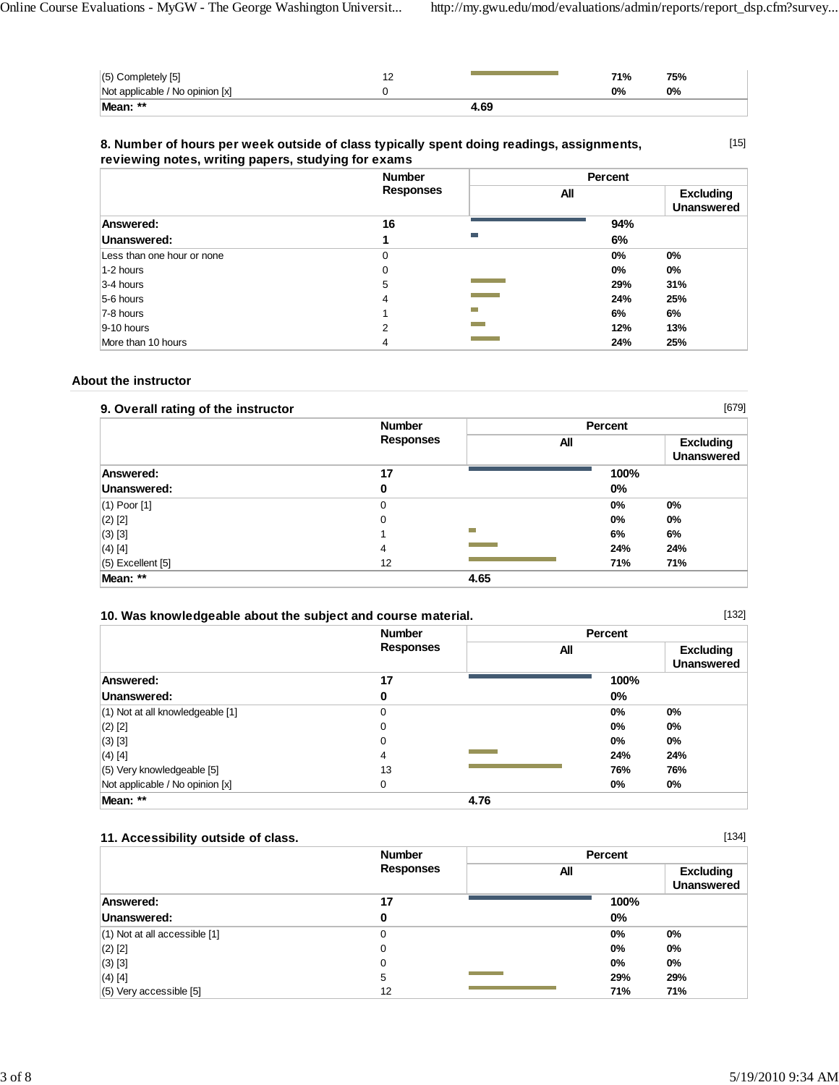| Mean: **                        | 4.69 |     |     |
|---------------------------------|------|-----|-----|
| Not applicable / No opinion [x] |      | 0%  | 0%  |
| $(5)$ Completely $[5]$          |      | 71% | 75% |

## **8. Number of hours per week outside of class typically spent doing readings, assignments, reviewing notes, writing papers, studying for exams**

[15]

|                            | <b>Number</b>    |            | Percent |                                       |
|----------------------------|------------------|------------|---------|---------------------------------------|
|                            | <b>Responses</b> |            | All     | <b>Excluding</b><br><b>Unanswered</b> |
| Answered:                  | 16               |            | 94%     |                                       |
| Unanswered:                |                  | m.         | 6%      |                                       |
| Less than one hour or none | 0                |            | 0%      | 0%                                    |
| 1-2 hours                  | 0                |            | 0%      | $0\%$                                 |
| 3-4 hours                  | 5                |            | 29%     | 31%                                   |
| 5-6 hours                  | 4                |            | 24%     | 25%                                   |
| 7-8 hours                  |                  | <b>COL</b> | 6%      | 6%                                    |
| 9-10 hours                 | 2                |            | 12%     | 13%                                   |
| More than 10 hours         | 4                |            | 24%     | 25%                                   |

## **About the instructor**

| 9. Overall rating of the instructor |                  |      |         | $[679]$                               |
|-------------------------------------|------------------|------|---------|---------------------------------------|
|                                     | <b>Number</b>    |      | Percent |                                       |
|                                     | <b>Responses</b> | All  |         | <b>Excluding</b><br><b>Unanswered</b> |
| Answered:                           | 17               |      | 100%    |                                       |
| Unanswered:                         | 0                |      | 0%      |                                       |
| $(1)$ Poor $[1]$                    | $\Omega$         |      | $0\%$   | 0%                                    |
| $(2)$ [2]                           | $\Omega$         |      | 0%      | 0%                                    |
| $(3)$ [3]                           |                  | m.   | 6%      | 6%                                    |
| $(4)$ [4]                           | 4                |      | 24%     | 24%                                   |
| (5) Excellent [5]                   | 12               |      | 71%     | 71%                                   |
| Mean: **                            |                  | 4.65 |         |                                       |

| 10. Was knowledgeable about the subject and course material. | <b>Number</b>    | <b>Percent</b> | [132]                                 |
|--------------------------------------------------------------|------------------|----------------|---------------------------------------|
|                                                              | <b>Responses</b> | All            | <b>Excluding</b><br><b>Unanswered</b> |
| Answered:                                                    | 17               | 100%           |                                       |
| Unanswered:                                                  | 0                | $0\%$          |                                       |
| (1) Not at all knowledgeable [1]                             | $\Omega$         | $0\%$          | 0%                                    |
| $(2)$ [2]                                                    | $\mathbf 0$      | $0\%$          | $0\%$                                 |
| $(3)$ [3]                                                    | 0                | $0\%$          | $0\%$                                 |
| $(4)$ [4]                                                    | 4                | 24%            | 24%                                   |
| (5) Very knowledgeable [5]                                   | 13               | 76%            | 76%                                   |
| Not applicable / No opinion [x]                              | 0                | $0\%$          | 0%                                    |
| Mean: **                                                     | 4.76             |                |                                       |

## **11. Accessibility outside of class.**

| [134]<br>11. Accessibility outside of class. |                  |     |         |                                       |
|----------------------------------------------|------------------|-----|---------|---------------------------------------|
|                                              | <b>Number</b>    |     | Percent |                                       |
|                                              | <b>Responses</b> | All |         | <b>Excluding</b><br><b>Unanswered</b> |
| Answered:                                    | 17               |     | 100%    |                                       |
| Unanswered:                                  | 0                |     | $0\%$   |                                       |
| $(1)$ Not at all accessible $[1]$            | 0                |     | $0\%$   | 0%                                    |
| $(2)$ [2]                                    | 0                |     | $0\%$   | 0%                                    |
| $(3)$ [3]                                    | 0                |     | 0%      | $0\%$                                 |
| $(4)$ [4]                                    | 5                |     | 29%     | 29%                                   |
| $(5)$ Very accessible $[5]$                  | 12               |     | 71%     | 71%                                   |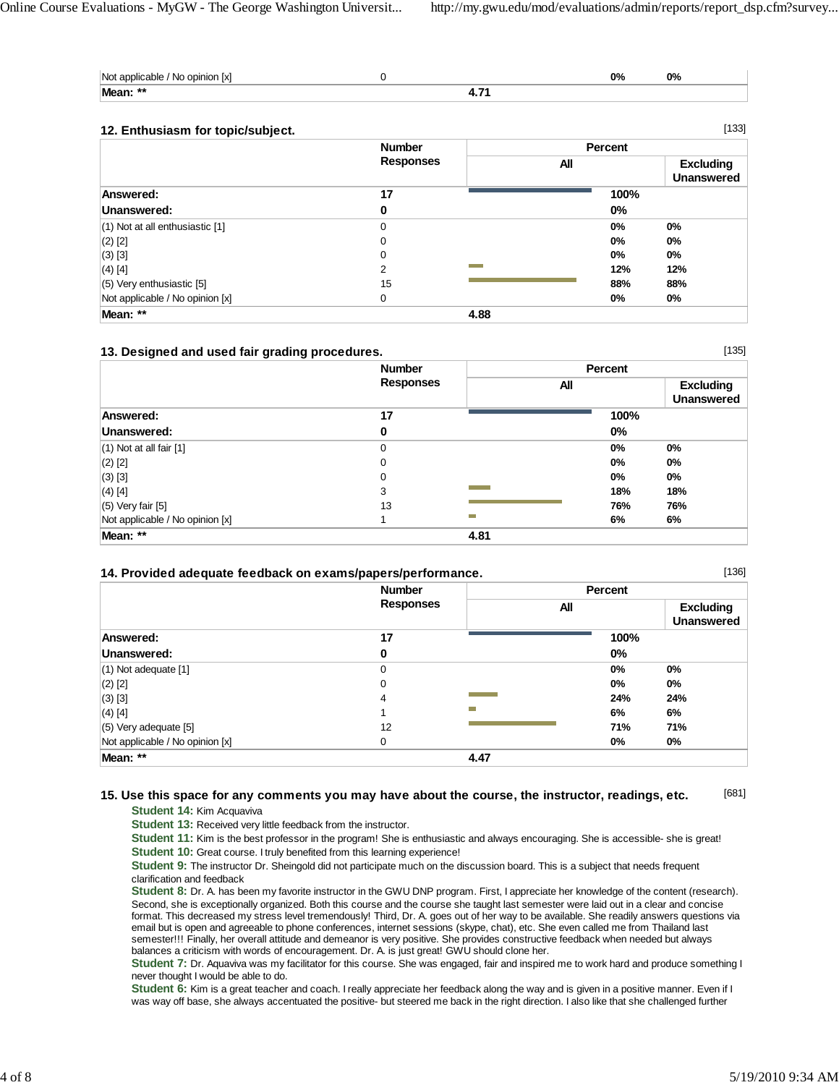[135]

[136]

| Not applicable / No opinion [x] |  | 0% | 0% |
|---------------------------------|--|----|----|
| Mean: **                        |  |    |    |

## **12. Enthusiasm for topic/subject.**

| 12. Enthusiasm for topic/subject.   |                                   |      |         | [133]                                 |
|-------------------------------------|-----------------------------------|------|---------|---------------------------------------|
|                                     | <b>Number</b><br><b>Responses</b> |      | Percent |                                       |
|                                     |                                   |      | All     | <b>Excluding</b><br><b>Unanswered</b> |
| Answered:                           | 17                                |      | 100%    |                                       |
| Unanswered:                         | 0                                 |      | $0\%$   |                                       |
| $(1)$ Not at all enthusiastic $[1]$ | 0                                 |      | $0\%$   | $0\%$                                 |
| $(2)$ [2]                           | 0                                 |      | $0\%$   | $0\%$                                 |
| $(3)$ [3]                           | $\mathbf 0$                       |      | $0\%$   | $0\%$                                 |
| $(4)$ [4]                           | 2                                 |      | 12%     | 12%                                   |
| $(5)$ Very enthusiastic [5]         | 15                                |      | 88%     | 88%                                   |
| Not applicable / No opinion [x]     | 0                                 |      | $0\%$   | $0\%$                                 |
| Mean: **                            |                                   | 4.88 |         |                                       |

## **13. Designed and used fair grading procedures.**

|                                 | <b>Number</b>    |      | <b>Percent</b> |                                       |  |
|---------------------------------|------------------|------|----------------|---------------------------------------|--|
|                                 | <b>Responses</b> |      | All            | <b>Excluding</b><br><b>Unanswered</b> |  |
| <b>Answered:</b>                | 17               |      | 100%           |                                       |  |
| Unanswered:                     | 0                |      | 0%             |                                       |  |
| $(1)$ Not at all fair $[1]$     | 0                |      | 0%             | 0%                                    |  |
| $(2)$ [2]                       | 0                |      | 0%             | $0\%$                                 |  |
| $(3)$ [3]                       | 0                |      | 0%             | $0\%$                                 |  |
| $(4)$ [4]                       | 3                |      | 18%            | 18%                                   |  |
| $(5)$ Very fair $[5]$           | 13               |      | 76%            | 76%                                   |  |
| Not applicable / No opinion [x] |                  | Ħ    | 6%             | 6%                                    |  |
| Mean: **                        |                  | 4.81 |                |                                       |  |

## **14. Provided adequate feedback on exams/papers/performance.**

|                                 | <b>Number</b>    |      | Percent |                                       |
|---------------------------------|------------------|------|---------|---------------------------------------|
|                                 | <b>Responses</b> |      | All     | <b>Excluding</b><br><b>Unanswered</b> |
| Answered:                       | 17               |      | 100%    |                                       |
| Unanswered:                     | 0                |      | $0\%$   |                                       |
| $(1)$ Not adequate $[1]$        | $\mathbf 0$      |      | $0\%$   | $0\%$                                 |
| $(2)$ [2]                       | $\mathbf 0$      |      | 0%      | $0\%$                                 |
| $(3)$ [3]                       | 4                |      | 24%     | 24%                                   |
| $(4)$ [4]                       |                  |      | 6%      | 6%                                    |
| $(5)$ Very adequate $[5]$       | 12               |      | 71%     | 71%                                   |
| Not applicable / No opinion [x] | 0                |      | 0%      | $0\%$                                 |
| Mean: **                        |                  | 4.47 |         |                                       |

#### [681] **15. Use this space for any comments you may have about the course, the instructor, readings, etc.**

**Student 14:** Kim Acquaviva

**Student 13:** Received very little feedback from the instructor.

**Student 11:** Kim is the best professor in the program! She is enthusiastic and always encouraging. She is accessible- she is great! **Student 10:** Great course. I truly benefited from this learning experience!

**Student 9:** The instructor Dr. Sheingold did not participate much on the discussion board. This is a subject that needs frequent clarification and feedback

**Student 8:** Dr. A. has been my favorite instructor in the GWU DNP program. First, I appreciate her knowledge of the content (research). Second, she is exceptionally organized. Both this course and the course she taught last semester were laid out in a clear and concise format. This decreased my stress level tremendously! Third, Dr. A. goes out of her way to be available. She readily answers questions via email but is open and agreeable to phone conferences, internet sessions (skype, chat), etc. She even called me from Thailand last semester!!! Finally, her overall attitude and demeanor is very positive. She provides constructive feedback when needed but always balances a criticism with words of encouragement. Dr. A. is just great! GWU should clone her.

**Student 7:** Dr. Aquaviva was my facilitator for this course. She was engaged, fair and inspired me to work hard and produce something I never thought I would be able to do.

**Student 6:** Kim is a great teacher and coach. I really appreciate her feedback along the way and is given in a positive manner. Even if I was way off base, she always accentuated the positive- but steered me back in the right direction. I also like that she challenged further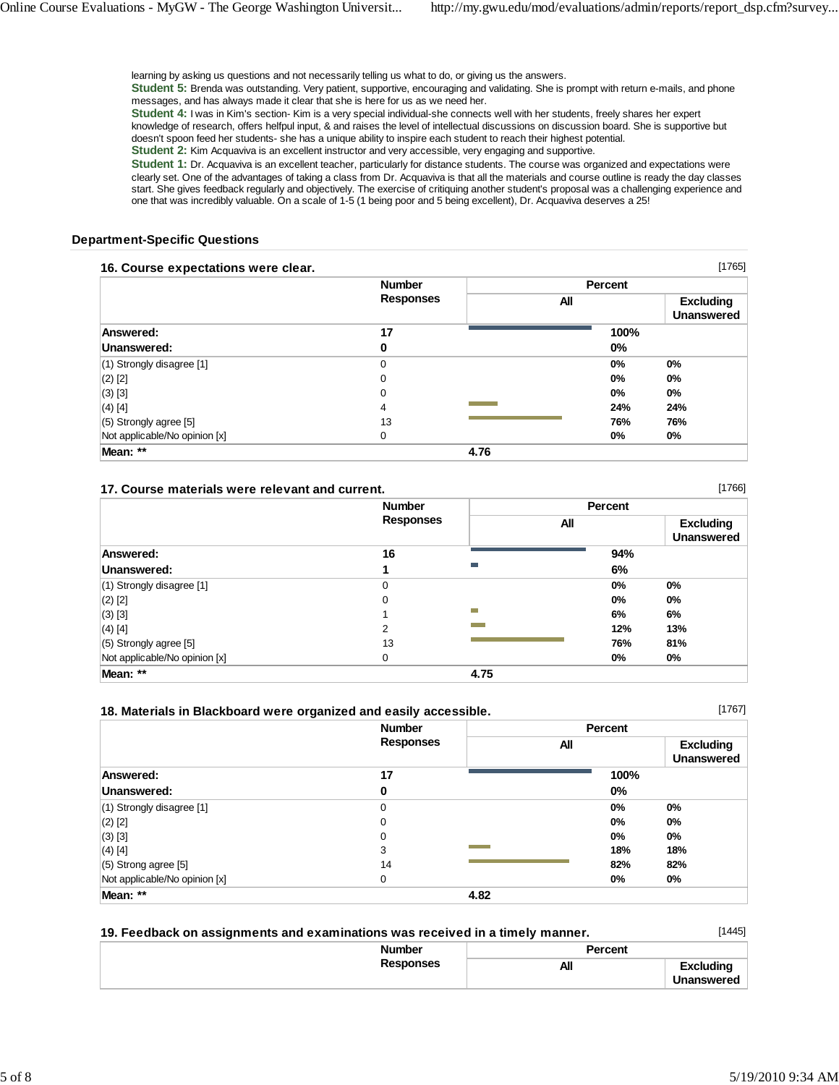learning by asking us questions and not necessarily telling us what to do, or giving us the answers.

**Student 5:** Brenda was outstanding. Very patient, supportive, encouraging and validating. She is prompt with return e-mails, and phone messages, and has always made it clear that she is here for us as we need her.

**Student 4:** I was in Kim's section- Kim is a very special individual-she connects well with her students, freely shares her expert knowledge of research, offers helfpul input, & and raises the level of intellectual discussions on discussion board. She is supportive but doesn't spoon feed her students- she has a unique ability to inspire each student to reach their highest potential. **Student 2:** Kim Acquaviva is an excellent instructor and very accessible, very engaging and supportive.

**Student 1:** Dr. Acquaviva is an excellent teacher, particularly for distance students. The course was organized and expectations were clearly set. One of the advantages of taking a class from Dr. Acquaviva is that all the materials and course outline is ready the day classes start. She gives feedback regularly and objectively. The exercise of critiquing another student's proposal was a challenging experience and one that was incredibly valuable. On a scale of 1-5 (1 being poor and 5 being excellent), Dr. Acquaviva deserves a 25!

### **Department-Specific Questions**

### **16. Course expectations were clear.**

|                               | <b>Number</b>    | Percent |                                       |
|-------------------------------|------------------|---------|---------------------------------------|
|                               | <b>Responses</b> | All     | <b>Excluding</b><br><b>Unanswered</b> |
| Answered:                     | 17               | 100%    |                                       |
| Unanswered:                   | 0                | $0\%$   |                                       |
| (1) Strongly disagree [1]     | $\mathbf 0$      | 0%      | 0%                                    |
| $(2)$ [2]                     | 0                | $0\%$   | $0\%$                                 |
| $(3)$ [3]                     | 0                | $0\%$   | $0\%$                                 |
| (4) [4]                       | $\overline{4}$   | 24%     | 24%                                   |
| $(5)$ Strongly agree [5]      | 13               | 76%     | 76%                                   |
| Not applicable/No opinion [x] | 0                | $0\%$   | 0%                                    |
| Mean: **                      |                  | 4.76    |                                       |

### **17. Course materials were relevant and current.**

|                               | <b>Number</b><br><b>Responses</b> |      | Percent |                                       |  |
|-------------------------------|-----------------------------------|------|---------|---------------------------------------|--|
|                               |                                   |      | All     | <b>Excluding</b><br><b>Unanswered</b> |  |
| <b>Answered:</b>              | 16                                |      | 94%     |                                       |  |
| Unanswered:                   |                                   | Ħ    | 6%      |                                       |  |
| $(1)$ Strongly disagree [1]   | 0                                 |      | $0\%$   | $0\%$                                 |  |
| $(2)$ [2]                     | $\Omega$                          |      | $0\%$   | $0\%$                                 |  |
| $(3)$ [3]                     |                                   | m.   | 6%      | 6%                                    |  |
| $(4)$ [4]                     | 2                                 |      | 12%     | 13%                                   |  |
| $(5)$ Strongly agree [5]      | 13                                |      | 76%     | 81%                                   |  |
| Not applicable/No opinion [x] | 0                                 |      | $0\%$   | $0\%$                                 |  |
| Mean: **                      |                                   | 4.75 |         |                                       |  |

### **18. Materials in Blackboard were organized and easily accessible.**

 **Number Responses Percent All Excluding Unanswered Answered: 17 100% Unanswered:** 0 0% (1) Strongly disagree [1] 0 **0% 0%** (2) [2] 0 **0% 0%** (3) [3] 0 **0% 0%** (4) [4] 3 **18% 18%** (5) Strong agree [5] 14 **82% 82%** Not applicable/No opinion [x] 0 **0% 0% Mean: \*\* 4.82**

| 19. Feedback on assignments and examinations was received in a timely manner. |         | [1445]     |
|-------------------------------------------------------------------------------|---------|------------|
| <b>Number</b>                                                                 | Percent |            |
| <b>Responses</b>                                                              | All     | Excludina  |
|                                                                               |         | Unanswered |

[1766]

[1767]

[1765]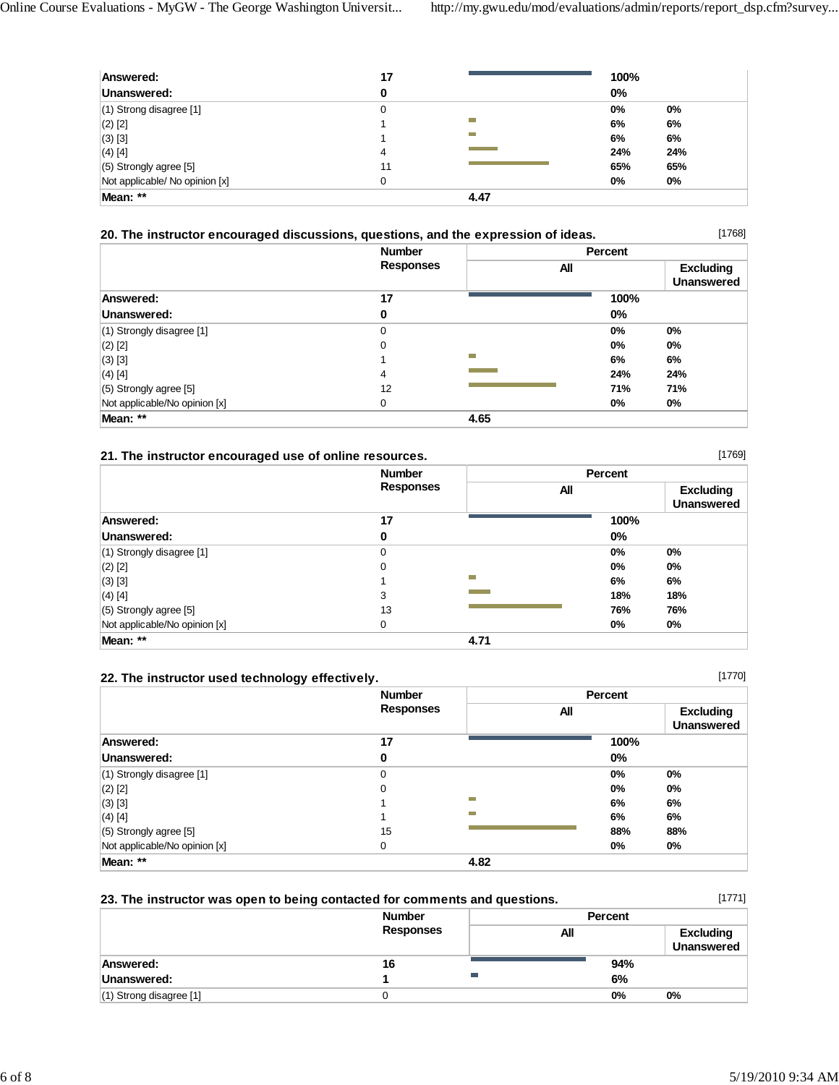| Answered:                      | 17 |      | 100%  |       |
|--------------------------------|----|------|-------|-------|
| Unanswered:                    | 0  |      | $0\%$ |       |
| $(1)$ Strong disagree [1]      | 0  |      | 0%    | $0\%$ |
| $(2)$ [2]                      |    |      | 6%    | 6%    |
| $(3)$ [3]                      |    |      | 6%    | 6%    |
| $(4)$ [4]                      | 4  |      | 24%   | 24%   |
| $(5)$ Strongly agree [5]       | 11 |      | 65%   | 65%   |
| Not applicable/ No opinion [x] | 0  |      | 0%    | $0\%$ |
| Mean: **                       |    | 4.47 |       |       |

## **20. The instructor encouraged discussions, questions, and the expression of ideas.**

[1768]

|                               | <b>Number</b><br><b>Responses</b> |      | Percent |                                       |  |
|-------------------------------|-----------------------------------|------|---------|---------------------------------------|--|
|                               |                                   | All  |         | <b>Excluding</b><br><b>Unanswered</b> |  |
| Answered:                     | 17                                |      | 100%    |                                       |  |
| Unanswered:                   | 0                                 |      | $0\%$   |                                       |  |
| $(1)$ Strongly disagree $[1]$ | 0                                 |      | 0%      | 0%                                    |  |
| $(2)$ [2]                     | 0                                 |      | 0%      | $0\%$                                 |  |
| $(3)$ [3]                     |                                   | m.   | 6%      | 6%                                    |  |
| $(4)$ [4]                     | 4                                 |      | 24%     | 24%                                   |  |
| (5) Strongly agree [5]        | 12                                |      | 71%     | 71%                                   |  |
| Not applicable/No opinion [x] | 0                                 |      | 0%      | 0%                                    |  |
| Mean: **                      |                                   | 4.65 |         |                                       |  |

## **21. The instructor encouraged use of online resources.**

|                               | <b>Number</b><br><b>Responses</b> |      | Percent |                                       |
|-------------------------------|-----------------------------------|------|---------|---------------------------------------|
|                               |                                   |      | All     | <b>Excluding</b><br><b>Unanswered</b> |
| Answered:                     | 17                                |      | 100%    |                                       |
| Unanswered:                   | 0                                 |      | 0%      |                                       |
| $(1)$ Strongly disagree [1]   | 0                                 |      | $0\%$   | $0\%$                                 |
| $(2)$ [2]                     | 0                                 |      | 0%      | $0\%$                                 |
| $(3)$ [3]                     |                                   | m    | 6%      | 6%                                    |
| $(4)$ [4]                     | 3                                 |      | 18%     | 18%                                   |
| $(5)$ Strongly agree $[5]$    | 13                                |      | 76%     | 76%                                   |
| Not applicable/No opinion [x] | 0                                 |      | 0%      | $0\%$                                 |
| Mean: **                      |                                   | 4.71 |         |                                       |

## **22. The instructor used technology effectively.**

| 22. The instructor used technology effectively. |                  |      |       | [1770]                                |
|-------------------------------------------------|------------------|------|-------|---------------------------------------|
|                                                 | <b>Number</b>    |      |       |                                       |
|                                                 | <b>Responses</b> |      | All   | <b>Excluding</b><br><b>Unanswered</b> |
| Answered:                                       | 17               |      | 100%  |                                       |
| Unanswered:                                     | 0                |      | 0%    |                                       |
| $(1)$ Strongly disagree $[1]$                   | 0                |      | 0%    | $0\%$                                 |
| $(2)$ [2]                                       | 0                |      | $0\%$ | 0%                                    |
| $(3)$ [3]                                       |                  | −    | 6%    | 6%                                    |
| $(4)$ [4]                                       |                  |      | 6%    | 6%                                    |
| $(5)$ Strongly agree [5]                        | 15               |      | 88%   | 88%                                   |
| Not applicable/No opinion [x]                   | 0                |      | 0%    | $0\%$                                 |
| Mean: **                                        |                  | 4.82 |       |                                       |

## **23. The instructor was open to being contacted for comments and questions.**

(1) Strong disagree [1] 0 **0% 0%**

 **Number Responses Percent All Excluding Unanswered Answered: 16 94% Unanswered: 1 6%**

[1771]

[1769]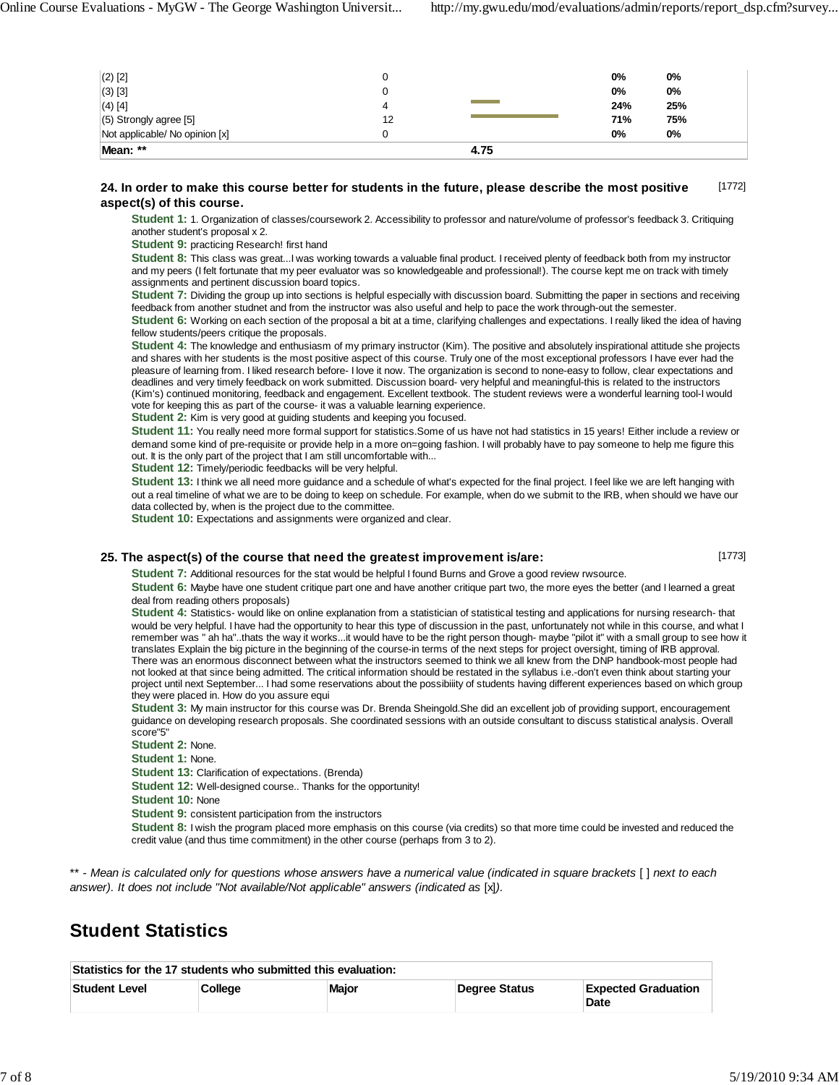| Mean: **                       |    | 4.75 |     |     |  |
|--------------------------------|----|------|-----|-----|--|
| Not applicable/ No opinion [x] |    |      | 0%  | 0%  |  |
| (5) Strongly agree [5]         | 12 |      | 71% | 75% |  |
| $(4)$ [4]                      | 4  |      | 24% | 25% |  |
| $(3)$ [3]                      |    |      | 0%  | 0%  |  |
| $(2)$ [2]                      |    |      | 0%  | 0%  |  |

#### [1772] **24. In order to make this course better for students in the future, please describe the most positive aspect(s) of this course.**

Student 1: 1. Organization of classes/coursework 2. Accessibility to professor and nature/volume of professor's feedback 3. Critiquing another student's proposal x 2.

**Student 9:** practicing Research! first hand

**Student 8:** This class was great...I was working towards a valuable final product. I received plenty of feedback both from my instructor and my peers (I felt fortunate that my peer evaluator was so knowledgeable and professional!). The course kept me on track with timely assignments and pertinent discussion board topics.

**Student 7:** Dividing the group up into sections is helpful especially with discussion board. Submitting the paper in sections and receiving feedback from another studnet and from the instructor was also useful and help to pace the work through-out the semester.

**Student 6:** Working on each section of the proposal a bit at a time, clarifying challenges and expectations. I really liked the idea of having fellow students/peers critique the proposals.

**Student 4:** The knowledge and enthusiasm of my primary instructor (Kim). The positive and absolutely inspirational attitude she projects and shares with her students is the most positive aspect of this course. Truly one of the most exceptional professors I have ever had the pleasure of learning from. I liked research before- I love it now. The organization is second to none-easy to follow, clear expectations and deadlines and very timely feedback on work submitted. Discussion board- very helpful and meaningful-this is related to the instructors (Kim's) continued monitoring, feedback and engagement. Excellent textbook. The student reviews were a wonderful learning tool-I would vote for keeping this as part of the course- it was a valuable learning experience.

**Student 2:** Kim is very good at guiding students and keeping you focused.

**Student 11:** You really need more formal support for statistics.Some of us have not had statistics in 15 years! Either include a review or demand some kind of pre-requisite or provide help in a more on=going fashion. I will probably have to pay someone to help me figure this out. It is the only part of the project that I am still uncomfortable with...

**Student 12:** Timely/periodic feedbacks will be very helpful.

**Student 13:** I think we all need more guidance and a schedule of what's expected for the final project. I feel like we are left hanging with out a real timeline of what we are to be doing to keep on schedule. For example, when do we submit to the IRB, when should we have our data collected by, when is the project due to the committee.

**Student 10:** Expectations and assignments were organized and clear.

### **25. The aspect(s) of the course that need the greatest improvement is/are:**

[1773]

**Student 7:** Additional resources for the stat would be helpful I found Burns and Grove a good review rwsource.

**Student 6:** Maybe have one student critique part one and have another critique part two, the more eyes the better (and I learned a great deal from reading others proposals)

**Student 4:** Statistics- would like on online explanation from a statistician of statistical testing and applications for nursing research- that would be very helpful. I have had the opportunity to hear this type of discussion in the past, unfortunately not while in this course, and what I remember was " ah ha"..thats the way it works...it would have to be the right person though- maybe "pilot it" with a small group to see how it translates Explain the big picture in the beginning of the course-in terms of the next steps for project oversight, timing of IRB approval. There was an enormous disconnect between what the instructors seemed to think we all knew from the DNP handbook-most people had not looked at that since being admitted. The critical information should be restated in the syllabus i.e.-don't even think about starting your project until next September... I had some reservations about the possibiiity of students having different experiences based on which group they were placed in. How do you assure equi

**Student 3:** My main instructor for this course was Dr. Brenda Sheingold.She did an excellent job of providing support, encouragement guidance on developing research proposals. She coordinated sessions with an outside consultant to discuss statistical analysis. Overall score"5"

**Student 2:** None.

**Student 1:** None.

**Student 13:** Clarification of expectations. (Brenda)

**Student 12:** Well-designed course.. Thanks for the opportunity!

**Student 10:** None

**Student 9:** consistent participation from the instructors

**Student 8:** I wish the program placed more emphasis on this course (via credits) so that more time could be invested and reduced the credit value (and thus time commitment) in the other course (perhaps from 3 to 2).

\*\* - *Mean is calculated only for questions whose answers have a numerical value (indicated in square brackets* [ ] *next to each answer). It does not include "Not available/Not applicable" answers (indicated as* [x]*).*

# **Student Statistics**

| Statistics for the 17 students who submitted this evaluation: |         |       |               |                                    |  |  |  |
|---------------------------------------------------------------|---------|-------|---------------|------------------------------------|--|--|--|
| <b>Student Level</b>                                          | College | Major | Dearee Status | <b>Expected Graduation</b><br>Date |  |  |  |